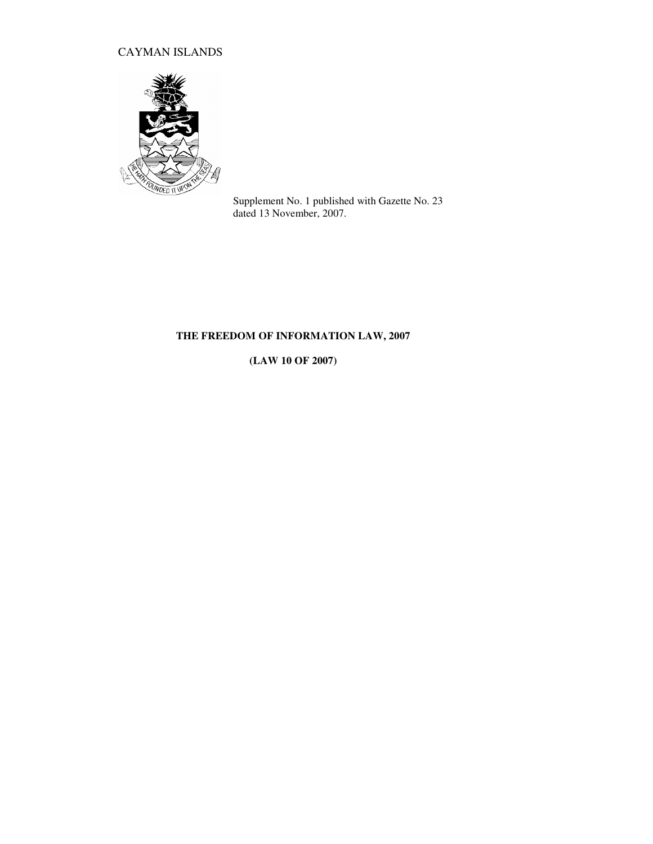# CAYMAN ISLANDS



 Supplement No. 1 published with Gazette No. 23 dated 13 November, 2007.

# **THE FREEDOM OF INFORMATION LAW, 2007**

**(LAW 10 OF 2007)**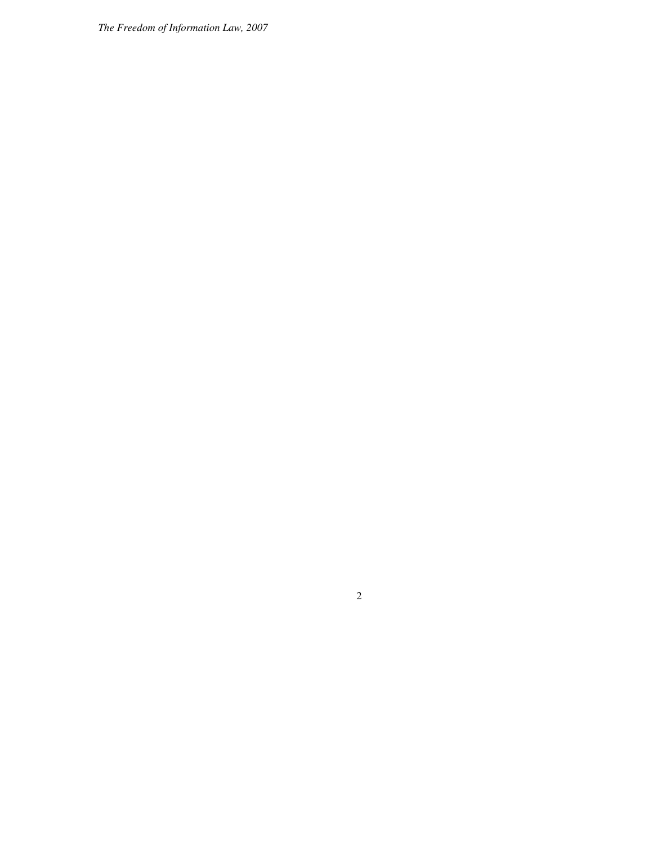*The Freedom of Information Law, 2007*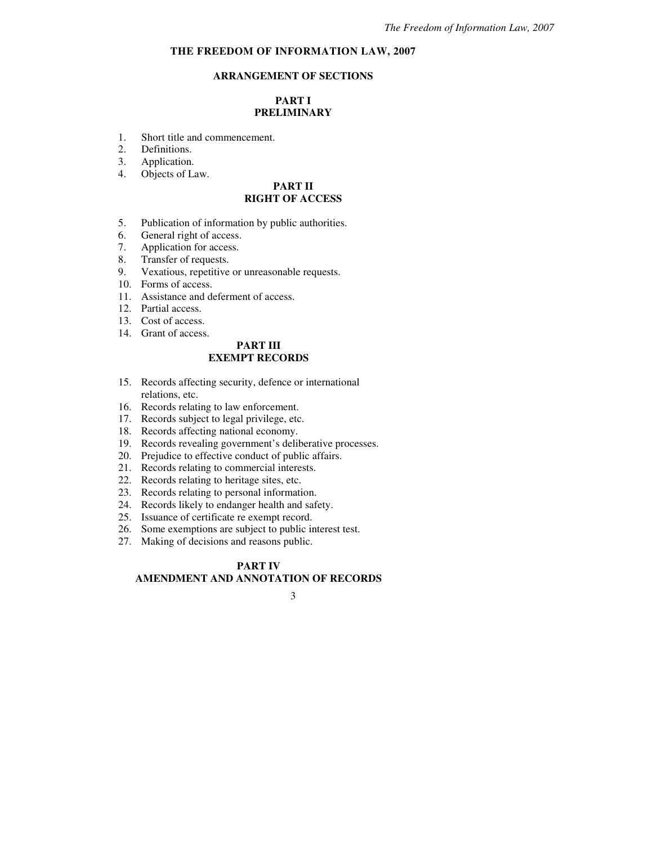### **THE FREEDOM OF INFORMATION LAW, 2007**

## **ARRANGEMENT OF SECTIONS**

# **PART I PRELIMINARY**

- 1. Short title and commencement.
- 2. Definitions.
- 3. Application.<br>4. Objects of La
- Objects of Law.

### **PART II RIGHT OF ACCESS**

- 5. Publication of information by public authorities.
- 6. General right of access.
- 7. Application for access.
- 8. Transfer of requests.
- 9. Vexatious, repetitive or unreasonable requests.
- 10. Forms of access.
- 11. Assistance and deferment of access.
- 12. Partial access.
- 13. Cost of access.
- 14. Grant of access.

## **PART III EXEMPT RECORDS**

- 15. Records affecting security, defence or international relations, etc.
- 16. Records relating to law enforcement.
- 17. Records subject to legal privilege, etc.
- 18. Records affecting national economy.
- 19. Records revealing government's deliberative processes.
- 20. Prejudice to effective conduct of public affairs.
- 21. Records relating to commercial interests.
- 22. Records relating to heritage sites, etc.
- 23. Records relating to personal information.
- 24. Records likely to endanger health and safety.
- 25. Issuance of certificate re exempt record.
- 26. Some exemptions are subject to public interest test.
- 27. Making of decisions and reasons public.

# **PART IV AMENDMENT AND ANNOTATION OF RECORDS**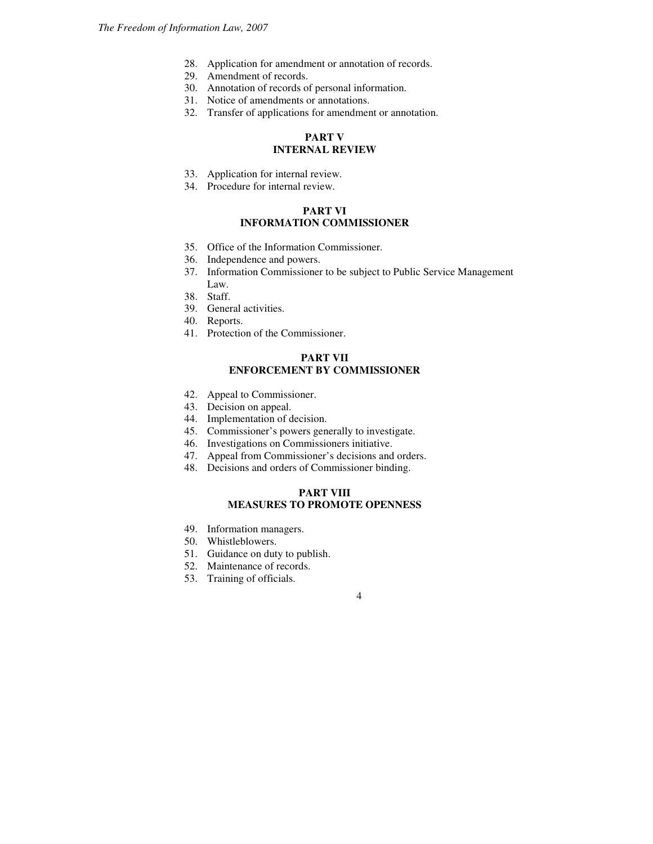- 28. Application for amendment or annotation of records.
- 29. Amendment of records.
- 30. Annotation of records of personal information.
- 31. Notice of amendments or annotations.
- 32. Transfer of applications for amendment or annotation.

#### **PART V INTERNAL REVIEW**

- 33. Application for internal review.
- 34. Procedure for internal review.

## **PART VI INFORMATION COMMISSIONER**

- 35. Office of the Information Commissioner.
- 36. Independence and powers.
- 37. Information Commissioner to be subject to Public Service Management Law.
- 38. Staff.
- 39. General activities.
- 40. Reports.
- 41. Protection of the Commissioner.

## **PART VII ENFORCEMENT BY COMMISSIONER**

- 42. Appeal to Commissioner.
- 43. Decision on appeal.
- 44. Implementation of decision.
- 45. Commissioner's powers generally to investigate.
- 46. Investigations on Commissioners initiative.
- 47. Appeal from Commissioner's decisions and orders.
- 48. Decisions and orders of Commissioner binding.

## **PART VIII MEASURES TO PROMOTE OPENNESS**

- 49. Information managers.
- 50. Whistleblowers.
- 51. Guidance on duty to publish.
- 52. Maintenance of records.
- 53. Training of officials.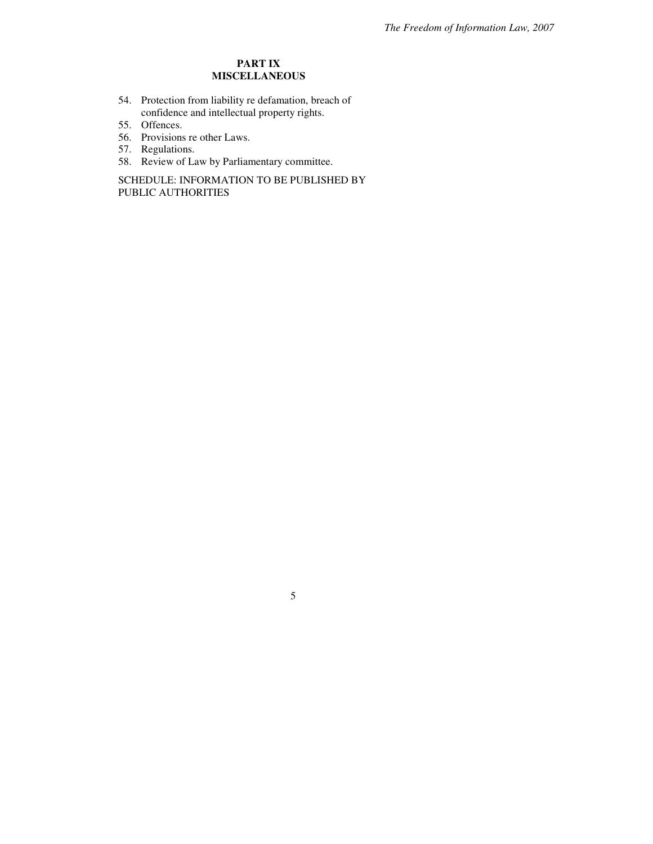# **PART IX MISCELLANEOUS**

- 54. Protection from liability re defamation, breach of confidence and intellectual property rights.
- 55. Offences.
- 56. Provisions re other Laws.
- 57. Regulations.
- 58. Review of Law by Parliamentary committee.

SCHEDULE: INFORMATION TO BE PUBLISHED BY PUBLIC AUTHORITIES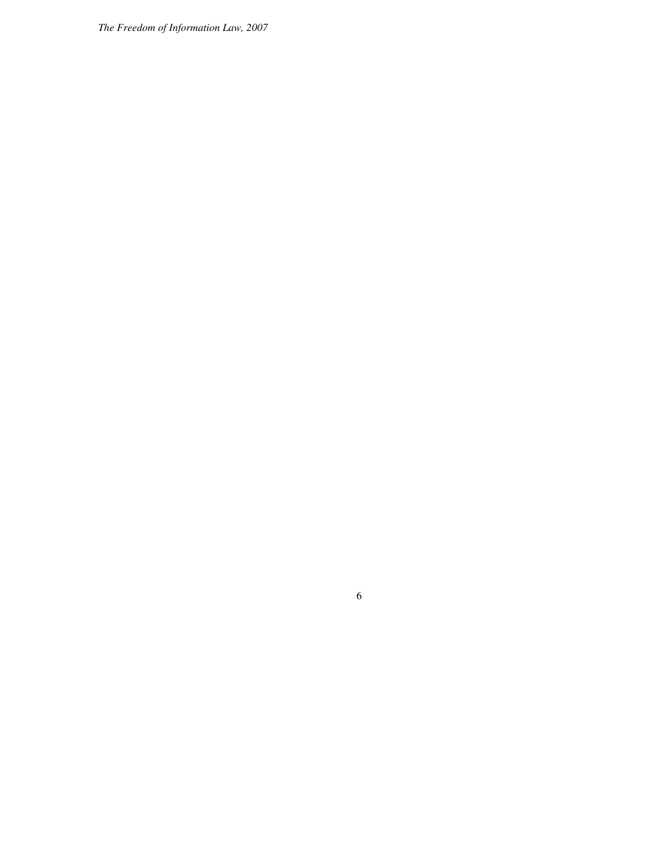*The Freedom of Information Law, 2007*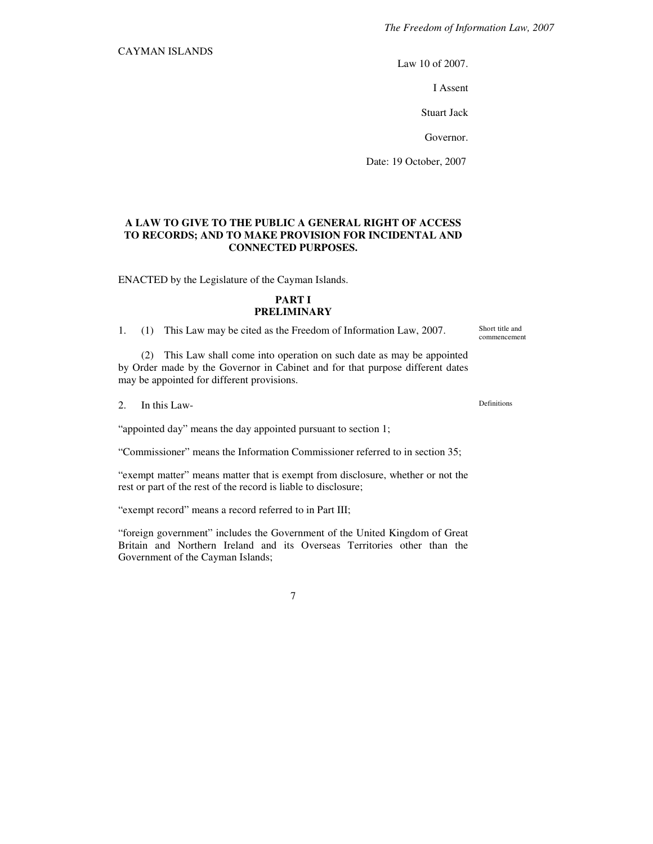CAYMAN ISLANDS

Law 10 of 2007.

I Assent

Stuart Jack

Governor.

Date: 19 October, 2007

### **A LAW TO GIVE TO THE PUBLIC A GENERAL RIGHT OF ACCESS TO RECORDS; AND TO MAKE PROVISION FOR INCIDENTAL AND CONNECTED PURPOSES.**

ENACTED by the Legislature of the Cayman Islands.

#### **PART I PRELIMINARY**

1. (1) This Law may be cited as the Freedom of Information Law, 2007.

(2) This Law shall come into operation on such date as may be appointed by Order made by the Governor in Cabinet and for that purpose different dates may be appointed for different provisions.

2. In this Law-

"appointed day" means the day appointed pursuant to section 1;

"Commissioner" means the Information Commissioner referred to in section 35;

"exempt matter" means matter that is exempt from disclosure, whether or not the rest or part of the rest of the record is liable to disclosure;

"exempt record" means a record referred to in Part III;

"foreign government" includes the Government of the United Kingdom of Great Britain and Northern Ireland and its Overseas Territories other than the Government of the Cayman Islands;

7

Definitions

Short title and commencement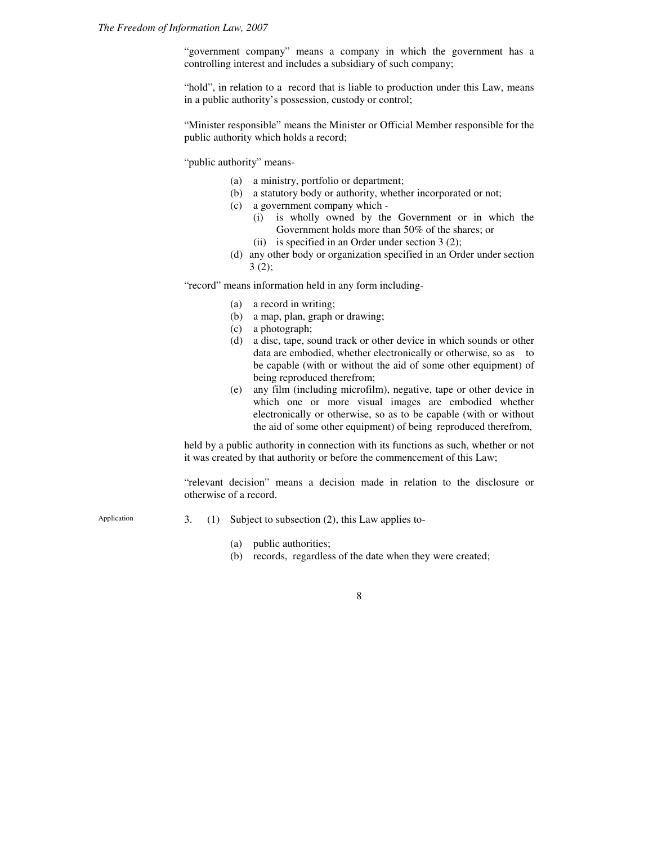"government company" means a company in which the government has a controlling interest and includes a subsidiary of such company;

"hold", in relation to a record that is liable to production under this Law, means in a public authority's possession, custody or control;

"Minister responsible" means the Minister or Official Member responsible for the public authority which holds a record;

"public authority" means-

- (a) a ministry, portfolio or department;
- (b) a statutory body or authority, whether incorporated or not;
- (c) a government company which
	- (i) is wholly owned by the Government or in which the Government holds more than 50% of the shares; or
	- (ii) is specified in an Order under section 3 (2);
- (d) any other body or organization specified in an Order under section  $3(2)$ :

"record" means information held in any form including-

- (a) a record in writing;
- (b) a map, plan, graph or drawing;
- (c) a photograph;
- (d) a disc, tape, sound track or other device in which sounds or other data are embodied, whether electronically or otherwise, so as to be capable (with or without the aid of some other equipment) of being reproduced therefrom;
- (e) any film (including microfilm), negative, tape or other device in which one or more visual images are embodied whether electronically or otherwise, so as to be capable (with or without the aid of some other equipment) of being reproduced therefrom,

held by a public authority in connection with its functions as such, whether or not it was created by that authority or before the commencement of this Law;

"relevant decision" means a decision made in relation to the disclosure or otherwise of a record.

Application

- 3. (1) Subject to subsection (2), this Law applies to-
	- (a) public authorities;
	- (b) records, regardless of the date when they were created;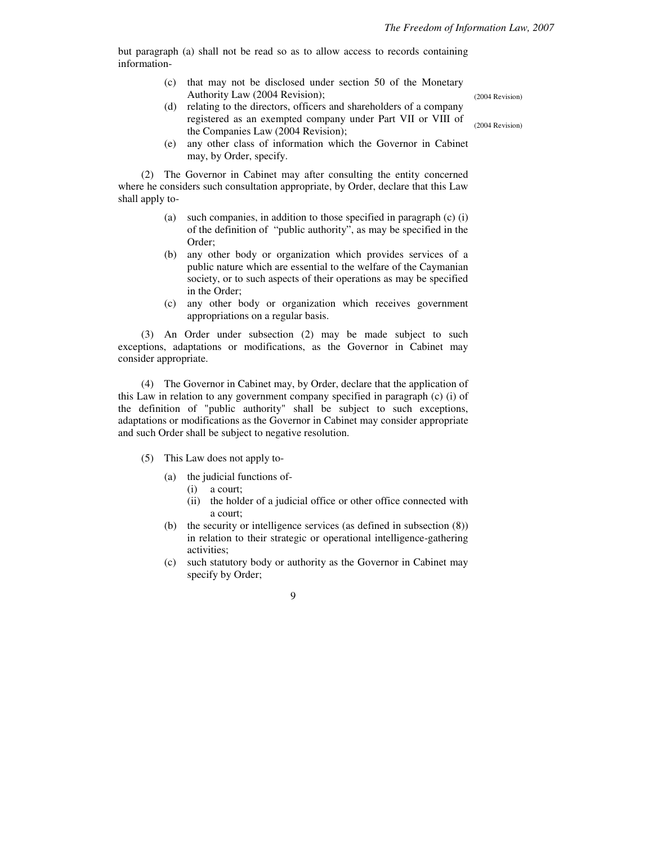but paragraph (a) shall not be read so as to allow access to records containing information-

> (c) that may not be disclosed under section 50 of the Monetary Authority Law (2004 Revision);

> (d) relating to the directors, officers and shareholders of a company registered as an exempted company under Part VII or VIII of the Companies Law (2004 Revision);

(e) any other class of information which the Governor in Cabinet may, by Order, specify.

(2) The Governor in Cabinet may after consulting the entity concerned where he considers such consultation appropriate, by Order, declare that this Law shall apply to-

- (a) such companies, in addition to those specified in paragraph (c) (i) of the definition of "public authority", as may be specified in the Order;
- (b) any other body or organization which provides services of a public nature which are essential to the welfare of the Caymanian society, or to such aspects of their operations as may be specified in the Order;
- (c) any other body or organization which receives government appropriations on a regular basis.

(3) An Order under subsection (2) may be made subject to such exceptions, adaptations or modifications, as the Governor in Cabinet may consider appropriate.

(4) The Governor in Cabinet may, by Order, declare that the application of this Law in relation to any government company specified in paragraph (c) (i) of the definition of "public authority" shall be subject to such exceptions, adaptations or modifications as the Governor in Cabinet may consider appropriate and such Order shall be subject to negative resolution.

- (5) This Law does not apply to-
	- (a) the judicial functions of-
		- (i) a court;
		- (ii) the holder of a judicial office or other office connected with a court;
	- (b) the security or intelligence services (as defined in subsection (8)) in relation to their strategic or operational intelligence-gathering activities;
	- (c) such statutory body or authority as the Governor in Cabinet may specify by Order;

9

(2004 Revision)

(2004 Revision)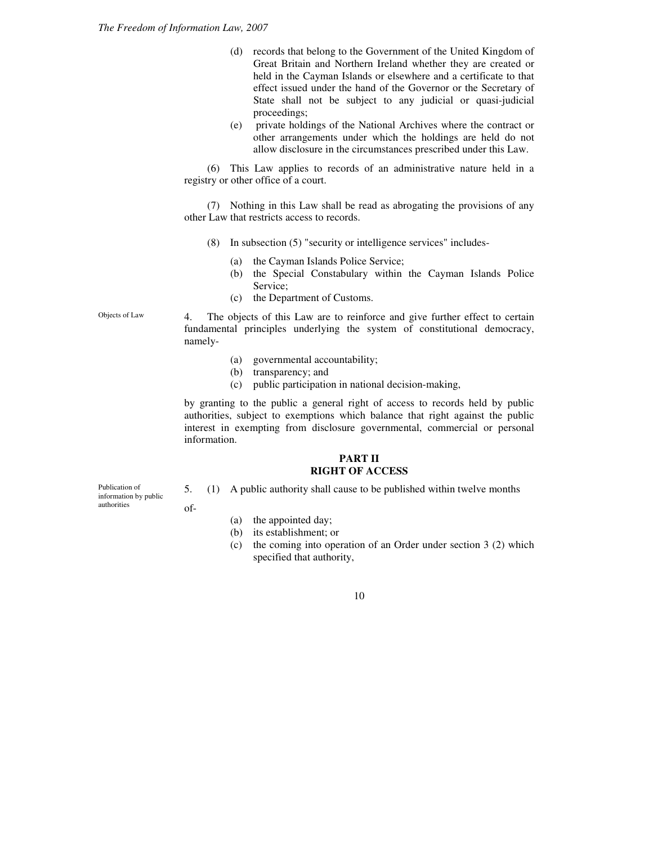- (d) records that belong to the Government of the United Kingdom of Great Britain and Northern Ireland whether they are created or held in the Cayman Islands or elsewhere and a certificate to that effect issued under the hand of the Governor or the Secretary of State shall not be subject to any judicial or quasi-judicial proceedings;
- (e) private holdings of the National Archives where the contract or other arrangements under which the holdings are held do not allow disclosure in the circumstances prescribed under this Law.

(6) This Law applies to records of an administrative nature held in a registry or other office of a court.

(7) Nothing in this Law shall be read as abrogating the provisions of any other Law that restricts access to records.

- (8) In subsection (5) "security or intelligence services" includes-
	- (a) the Cayman Islands Police Service;
	- (b) the Special Constabulary within the Cayman Islands Police Service;
	- (c) the Department of Customs.

4. The objects of this Law are to reinforce and give further effect to certain fundamental principles underlying the system of constitutional democracy, namely-

- (a) governmental accountability;
- (b) transparency; and
- (c) public participation in national decision-making,

by granting to the public a general right of access to records held by public authorities, subject to exemptions which balance that right against the public interest in exempting from disclosure governmental, commercial or personal information.

#### **PART II RIGHT OF ACCESS**

Publication of information by public authorities

of-

- 5. (1) A public authority shall cause to be published within twelve months
	- (a) the appointed day;
	- (b) its establishment; or
	- (c) the coming into operation of an Order under section 3 (2) which specified that authority,

10

Objects of Law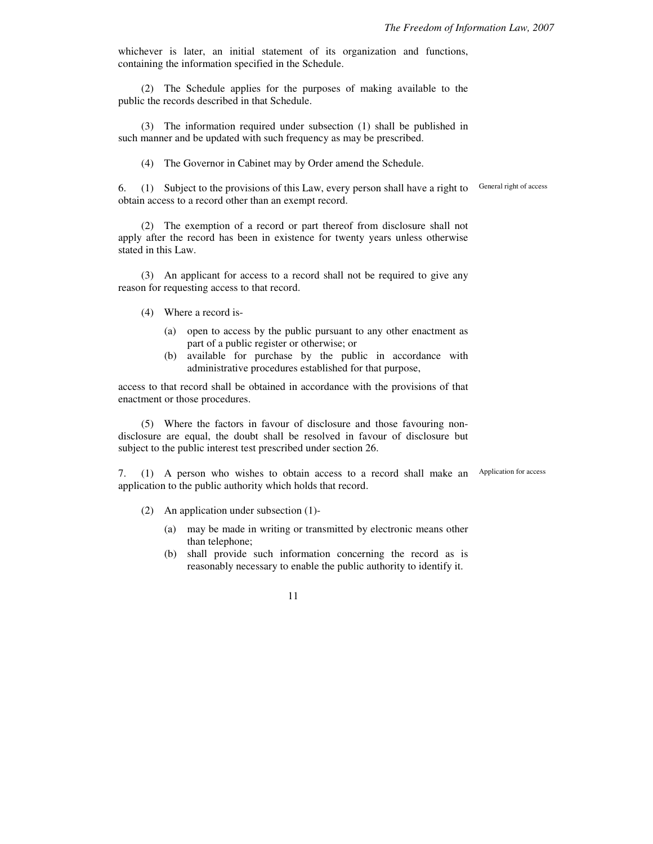whichever is later, an initial statement of its organization and functions, containing the information specified in the Schedule.

(2) The Schedule applies for the purposes of making available to the public the records described in that Schedule.

(3) The information required under subsection (1) shall be published in such manner and be updated with such frequency as may be prescribed.

(4) The Governor in Cabinet may by Order amend the Schedule.

6. (1) Subject to the provisions of this Law, every person shall have a right to obtain access to a record other than an exempt record.

(2) The exemption of a record or part thereof from disclosure shall not apply after the record has been in existence for twenty years unless otherwise stated in this Law.

(3) An applicant for access to a record shall not be required to give any reason for requesting access to that record.

- (4) Where a record is-
	- (a) open to access by the public pursuant to any other enactment as part of a public register or otherwise; or
	- (b) available for purchase by the public in accordance with administrative procedures established for that purpose,

access to that record shall be obtained in accordance with the provisions of that enactment or those procedures.

(5) Where the factors in favour of disclosure and those favouring nondisclosure are equal, the doubt shall be resolved in favour of disclosure but subject to the public interest test prescribed under section 26.

7. (1) A person who wishes to obtain access to a record shall make an Application for access application to the public authority which holds that record.

- (2) An application under subsection (1)-
	- (a) may be made in writing or transmitted by electronic means other than telephone;
	- (b) shall provide such information concerning the record as is reasonably necessary to enable the public authority to identify it.

11

General right of access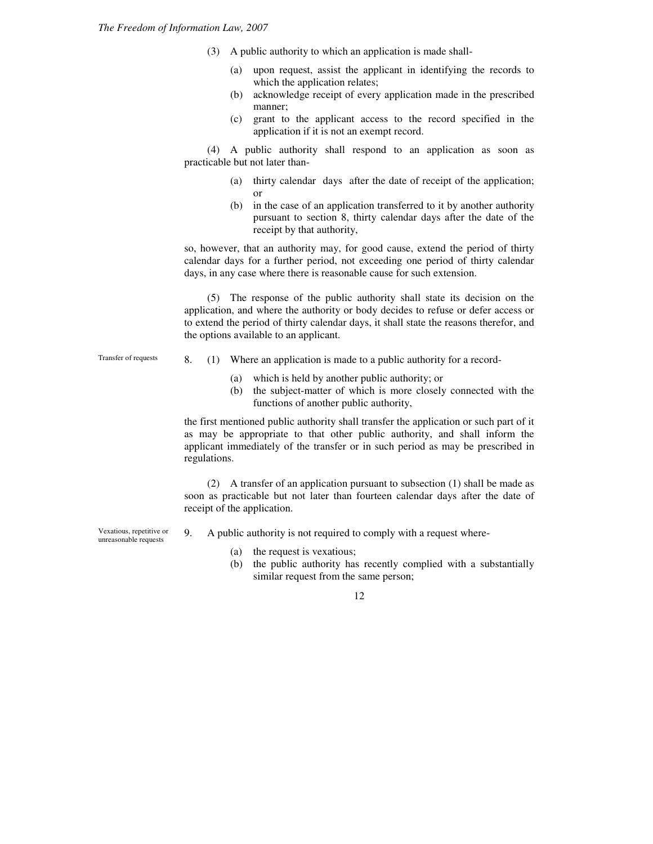- (3) A public authority to which an application is made shall-
	- (a) upon request, assist the applicant in identifying the records to which the application relates;
	- (b) acknowledge receipt of every application made in the prescribed manner;
	- (c) grant to the applicant access to the record specified in the application if it is not an exempt record.

(4) A public authority shall respond to an application as soon as practicable but not later than-

- (a) thirty calendar days after the date of receipt of the application; or
- (b) in the case of an application transferred to it by another authority pursuant to section 8, thirty calendar days after the date of the receipt by that authority,

so, however, that an authority may, for good cause, extend the period of thirty calendar days for a further period, not exceeding one period of thirty calendar days, in any case where there is reasonable cause for such extension.

(5) The response of the public authority shall state its decision on the application, and where the authority or body decides to refuse or defer access or to extend the period of thirty calendar days, it shall state the reasons therefor, and the options available to an applicant.

- 8. (1) Where an application is made to a public authority for a record-
	- (a) which is held by another public authority; or
	- (b) the subject-matter of which is more closely connected with the functions of another public authority,

the first mentioned public authority shall transfer the application or such part of it as may be appropriate to that other public authority, and shall inform the applicant immediately of the transfer or in such period as may be prescribed in regulations.

(2) A transfer of an application pursuant to subsection (1) shall be made as soon as practicable but not later than fourteen calendar days after the date of receipt of the application.

Vexatious, repetitive or unreasonable requests

Transfer of requests

- 9. A public authority is not required to comply with a request where-
	- (a) the request is vexatious;
	- (b) the public authority has recently complied with a substantially similar request from the same person;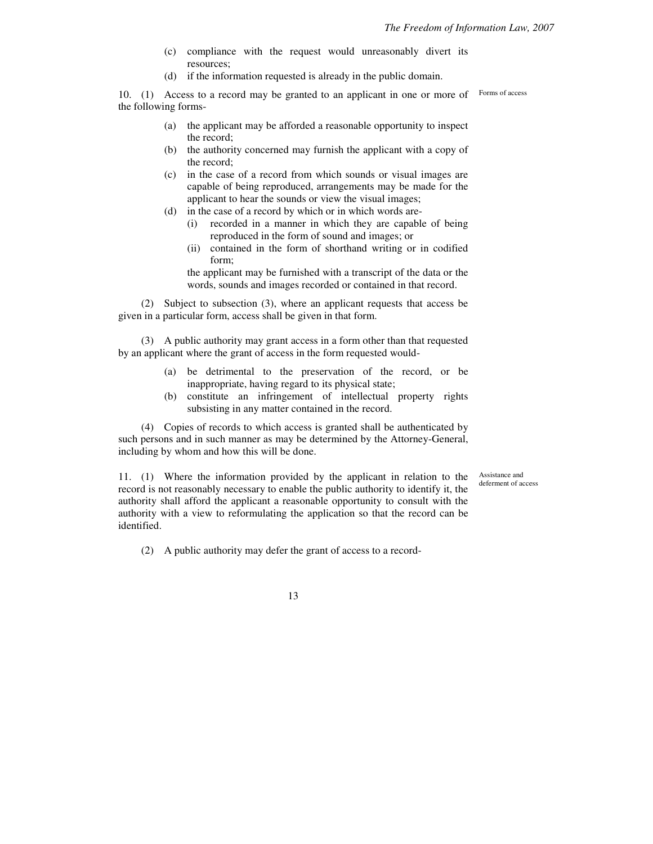- (c) compliance with the request would unreasonably divert its resources;
- (d) if the information requested is already in the public domain.

10. (1) Access to a record may be granted to an applicant in one or more of the following forms-

- (a) the applicant may be afforded a reasonable opportunity to inspect the record;
- (b) the authority concerned may furnish the applicant with a copy of the record;
- (c) in the case of a record from which sounds or visual images are capable of being reproduced, arrangements may be made for the applicant to hear the sounds or view the visual images;
- (d) in the case of a record by which or in which words are-
	- (i) recorded in a manner in which they are capable of being reproduced in the form of sound and images; or
	- (ii) contained in the form of shorthand writing or in codified form;

the applicant may be furnished with a transcript of the data or the words, sounds and images recorded or contained in that record.

(2) Subject to subsection (3), where an applicant requests that access be given in a particular form, access shall be given in that form.

(3) A public authority may grant access in a form other than that requested by an applicant where the grant of access in the form requested would-

- (a) be detrimental to the preservation of the record, or be inappropriate, having regard to its physical state;
- (b) constitute an infringement of intellectual property rights subsisting in any matter contained in the record.

(4) Copies of records to which access is granted shall be authenticated by such persons and in such manner as may be determined by the Attorney-General, including by whom and how this will be done.

> Assistance and deferment of access

11. (1) Where the information provided by the applicant in relation to the record is not reasonably necessary to enable the public authority to identify it, the authority shall afford the applicant a reasonable opportunity to consult with the authority with a view to reformulating the application so that the record can be identified.

(2) A public authority may defer the grant of access to a record-

13

Forms of access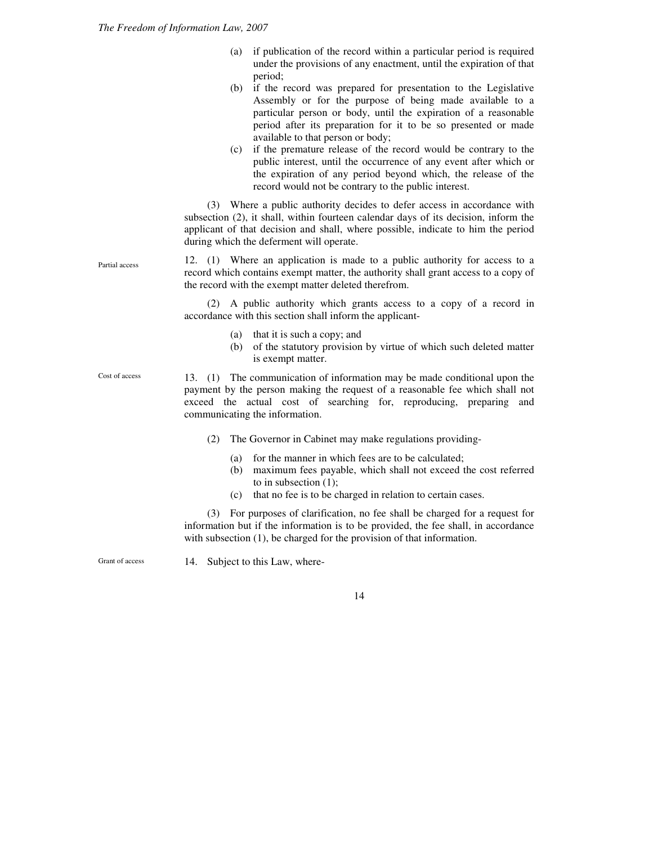- (a) if publication of the record within a particular period is required under the provisions of any enactment, until the expiration of that period;
- (b) if the record was prepared for presentation to the Legislative Assembly or for the purpose of being made available to a particular person or body, until the expiration of a reasonable period after its preparation for it to be so presented or made available to that person or body;
- (c) if the premature release of the record would be contrary to the public interest, until the occurrence of any event after which or the expiration of any period beyond which, the release of the record would not be contrary to the public interest.

(3) Where a public authority decides to defer access in accordance with subsection (2), it shall, within fourteen calendar days of its decision, inform the applicant of that decision and shall, where possible, indicate to him the period during which the deferment will operate.

12. (1) Where an application is made to a public authority for access to a record which contains exempt matter, the authority shall grant access to a copy of the record with the exempt matter deleted therefrom. Partial access

> (2) A public authority which grants access to a copy of a record in accordance with this section shall inform the applicant-

- (a) that it is such a copy; and
- (b) of the statutory provision by virtue of which such deleted matter is exempt matter.

13. (1) The communication of information may be made conditional upon the payment by the person making the request of a reasonable fee which shall not exceed the actual cost of searching for, reproducing, preparing and communicating the information. Cost of access

- (2) The Governor in Cabinet may make regulations providing-
	- (a) for the manner in which fees are to be calculated;
	- (b) maximum fees payable, which shall not exceed the cost referred to in subsection (1);
	- (c) that no fee is to be charged in relation to certain cases.

(3) For purposes of clarification, no fee shall be charged for a request for information but if the information is to be provided, the fee shall, in accordance with subsection (1), be charged for the provision of that information.

14. Subject to this Law, where-Grant of access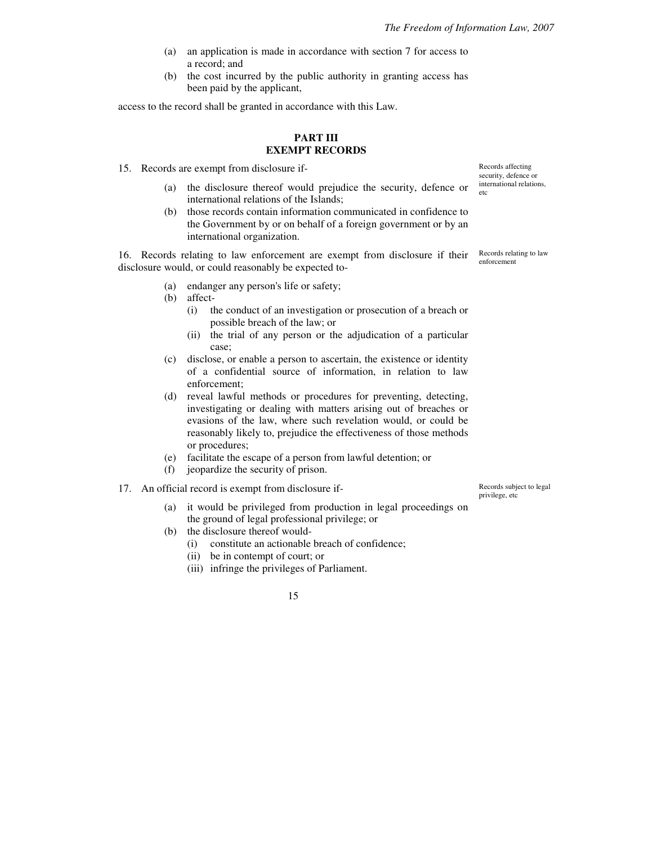- (a) an application is made in accordance with section 7 for access to a record; and
- (b) the cost incurred by the public authority in granting access has been paid by the applicant,

access to the record shall be granted in accordance with this Law.

#### **PART III EXEMPT RECORDS**

- 15. Records are exempt from disclosure if-
	- (a) the disclosure thereof would prejudice the security, defence or international relations of the Islands;
	- (b) those records contain information communicated in confidence to the Government by or on behalf of a foreign government or by an international organization.

16. Records relating to law enforcement are exempt from disclosure if their disclosure would, or could reasonably be expected to-

- (a) endanger any person's life or safety;
- (b) affect-
	- (i) the conduct of an investigation or prosecution of a breach or possible breach of the law; or
	- (ii) the trial of any person or the adjudication of a particular case;
- (c) disclose, or enable a person to ascertain, the existence or identity of a confidential source of information, in relation to law enforcement;
- (d) reveal lawful methods or procedures for preventing, detecting, investigating or dealing with matters arising out of breaches or evasions of the law, where such revelation would, or could be reasonably likely to, prejudice the effectiveness of those methods or procedures;
- (e) facilitate the escape of a person from lawful detention; or
- (f) jeopardize the security of prison.
- 17. An official record is exempt from disclosure if-
	- (a) it would be privileged from production in legal proceedings on the ground of legal professional privilege; or
	- (b) the disclosure thereof would-
		- (i) constitute an actionable breach of confidence;
		- (ii) be in contempt of court; or
		- (iii) infringe the privileges of Parliament.

Records affecting security, defence or international relations, etc

Records relating to law enforcement

Records subject to legal privilege, etc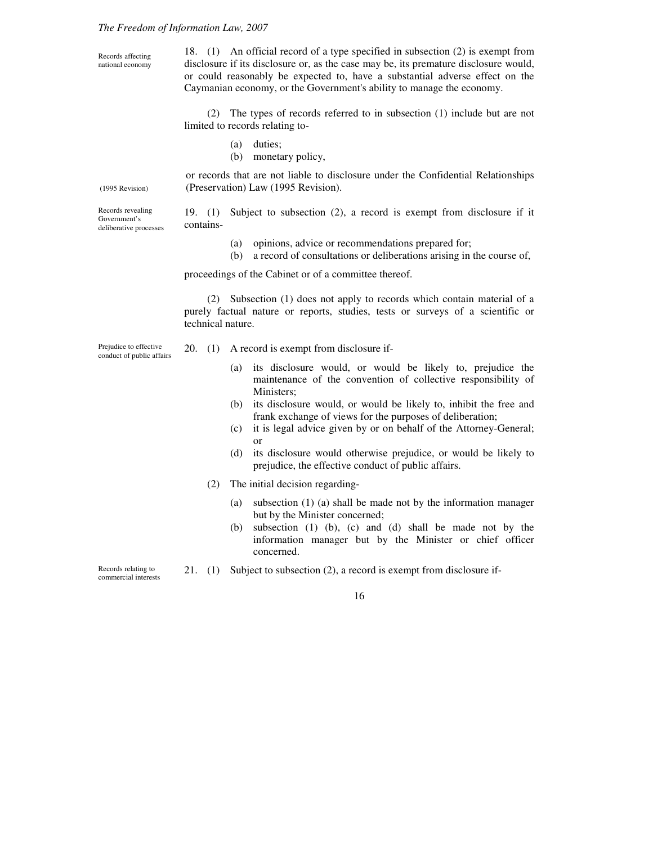#### *The Freedom of Information Law, 2007*

Records affecting national economy

18. (1) An official record of a type specified in subsection (2) is exempt from disclosure if its disclosure or, as the case may be, its premature disclosure would, or could reasonably be expected to, have a substantial adverse effect on the Caymanian economy, or the Government's ability to manage the economy.

(2) The types of records referred to in subsection (1) include but are not limited to records relating to-

- (a) duties;
- (b) monetary policy,

or records that are not liable to disclosure under the Confidential Relationships (Preservation) Law (1995 Revision).

Records revealing Government's deliberative processes

(1995 Revision)

19. (1) Subject to subsection (2), a record is exempt from disclosure if it contains-

- (a) opinions, advice or recommendations prepared for;
- (b) a record of consultations or deliberations arising in the course of,

proceedings of the Cabinet or of a committee thereof.

(2) Subsection (1) does not apply to records which contain material of a purely factual nature or reports, studies, tests or surveys of a scientific or technical nature.

Prejudice to effective conduct of public affairs

- 20. (1) A record is exempt from disclosure if-
	- (a) its disclosure would, or would be likely to, prejudice the maintenance of the convention of collective responsibility of Ministers;
	- (b) its disclosure would, or would be likely to, inhibit the free and frank exchange of views for the purposes of deliberation;
	- (c) it is legal advice given by or on behalf of the Attorney-General; or
	- (d) its disclosure would otherwise prejudice, or would be likely to prejudice, the effective conduct of public affairs.
	- (2) The initial decision regarding-
		- (a) subsection (1) (a) shall be made not by the information manager but by the Minister concerned;
		- (b) subsection (1) (b), (c) and (d) shall be made not by the information manager but by the Minister or chief officer concerned.
- 21. (1) Subject to subsection (2), a record is exempt from disclosure if-

Records relating to commercial interests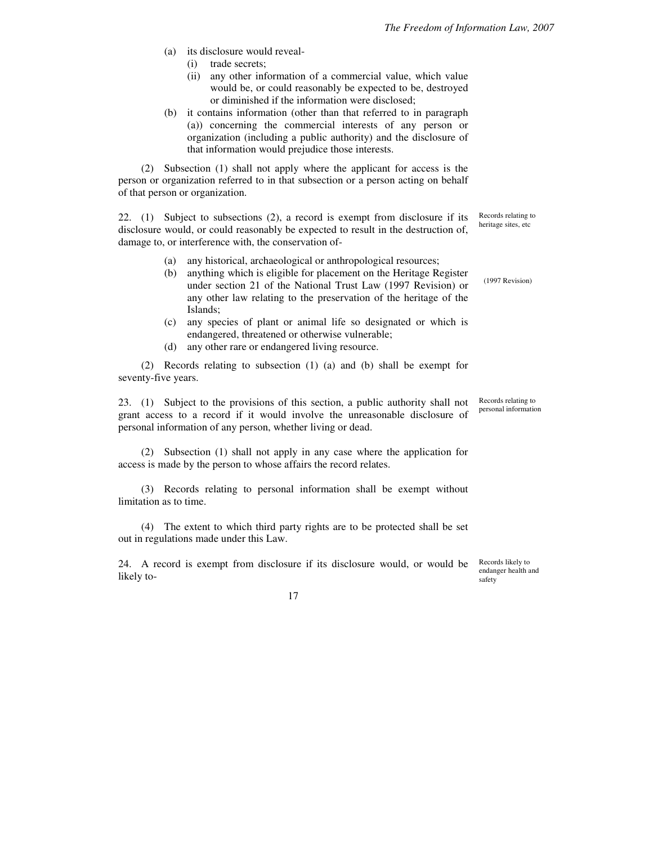- (a) its disclosure would reveal-
	- (i) trade secrets;
	- (ii) any other information of a commercial value, which value would be, or could reasonably be expected to be, destroyed or diminished if the information were disclosed;
- (b) it contains information (other than that referred to in paragraph (a)) concerning the commercial interests of any person or organization (including a public authority) and the disclosure of that information would prejudice those interests.

(2) Subsection (1) shall not apply where the applicant for access is the person or organization referred to in that subsection or a person acting on behalf of that person or organization.

22. (1) Subject to subsections (2), a record is exempt from disclosure if its disclosure would, or could reasonably be expected to result in the destruction of, damage to, or interference with, the conservation of-

- (a) any historical, archaeological or anthropological resources;
- (b) anything which is eligible for placement on the Heritage Register under section 21 of the National Trust Law (1997 Revision) or any other law relating to the preservation of the heritage of the Islands;
- (c) any species of plant or animal life so designated or which is endangered, threatened or otherwise vulnerable;
- (d) any other rare or endangered living resource.

(2) Records relating to subsection (1) (a) and (b) shall be exempt for seventy-five years.

23. (1) Subject to the provisions of this section, a public authority shall not grant access to a record if it would involve the unreasonable disclosure of personal information of any person, whether living or dead.

(2) Subsection (1) shall not apply in any case where the application for access is made by the person to whose affairs the record relates.

(3) Records relating to personal information shall be exempt without limitation as to time.

(4) The extent to which third party rights are to be protected shall be set out in regulations made under this Law.

24. A record is exempt from disclosure if its disclosure would, or would be likely toRecords relating to heritage sites, etc

(1997 Revision)

Records relating to personal information

Records likely to endanger health and safety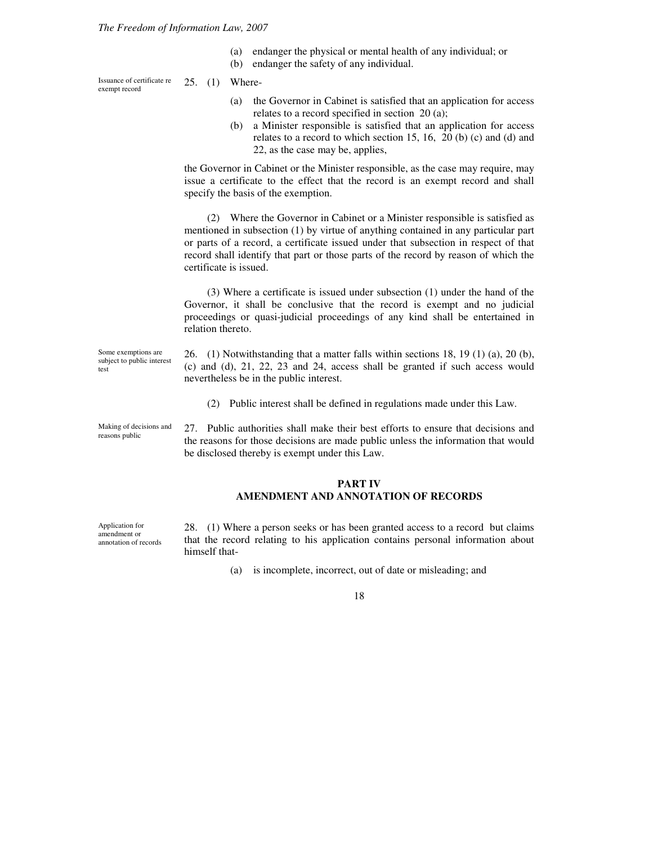- (a) endanger the physical or mental health of any individual; or
- (b) endanger the safety of any individual.

25. (1) Where- Issuance of certificate re exempt record

- (a) the Governor in Cabinet is satisfied that an application for access relates to a record specified in section 20 (a);
- (b) a Minister responsible is satisfied that an application for access relates to a record to which section 15, 16, 20 (b) (c) and (d) and 22, as the case may be, applies,

the Governor in Cabinet or the Minister responsible, as the case may require, may issue a certificate to the effect that the record is an exempt record and shall specify the basis of the exemption.

(2) Where the Governor in Cabinet or a Minister responsible is satisfied as mentioned in subsection (1) by virtue of anything contained in any particular part or parts of a record, a certificate issued under that subsection in respect of that record shall identify that part or those parts of the record by reason of which the certificate is issued.

(3) Where a certificate is issued under subsection (1) under the hand of the Governor, it shall be conclusive that the record is exempt and no judicial proceedings or quasi-judicial proceedings of any kind shall be entertained in relation thereto.

26. (1) Notwithstanding that a matter falls within sections 18, 19 (1) (a), 20 (b), (c) and (d), 21, 22, 23 and 24, access shall be granted if such access would nevertheless be in the public interest.

(2) Public interest shall be defined in regulations made under this Law.

Making of decisions and reasons public

Some exemptions are subject to public interest

test

27. Public authorities shall make their best efforts to ensure that decisions and the reasons for those decisions are made public unless the information that would be disclosed thereby is exempt under this Law.

#### **PART IV AMENDMENT AND ANNOTATION OF RECORDS**

Application for amendment or annotation of records 28. (1) Where a person seeks or has been granted access to a record but claims that the record relating to his application contains personal information about himself that-

(a) is incomplete, incorrect, out of date or misleading; and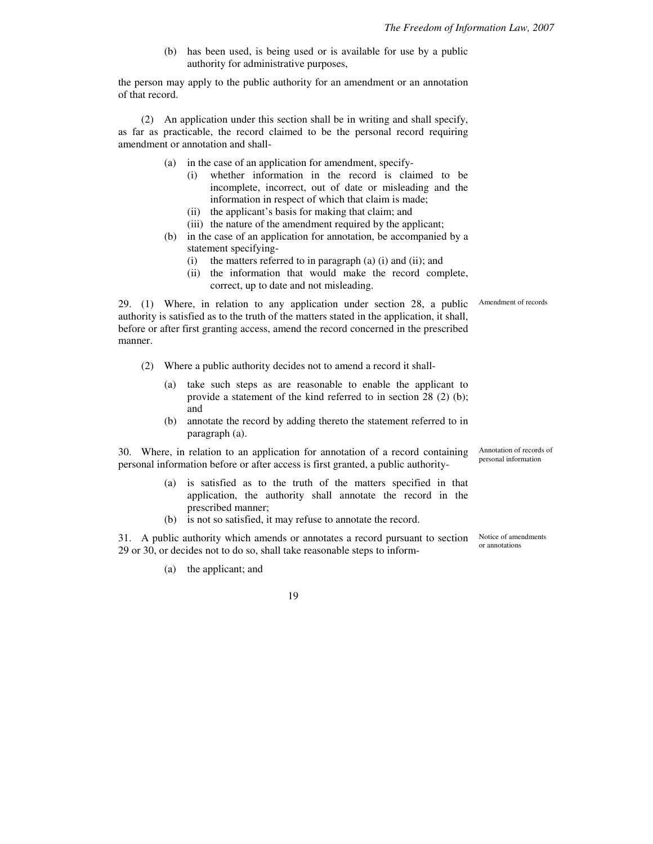(b) has been used, is being used or is available for use by a public authority for administrative purposes,

the person may apply to the public authority for an amendment or an annotation of that record.

(2) An application under this section shall be in writing and shall specify, as far as practicable, the record claimed to be the personal record requiring amendment or annotation and shall-

- (a) in the case of an application for amendment, specify-
	- (i) whether information in the record is claimed to be incomplete, incorrect, out of date or misleading and the information in respect of which that claim is made;
	- (ii) the applicant's basis for making that claim; and
	- (iii) the nature of the amendment required by the applicant;
- (b) in the case of an application for annotation, be accompanied by a statement specifying-
	- (i) the matters referred to in paragraph (a) (i) and (ii); and
	- (ii) the information that would make the record complete, correct, up to date and not misleading.

29. (1) Where, in relation to any application under section 28, a public authority is satisfied as to the truth of the matters stated in the application, it shall, before or after first granting access, amend the record concerned in the prescribed manner.

- (2) Where a public authority decides not to amend a record it shall-
	- (a) take such steps as are reasonable to enable the applicant to provide a statement of the kind referred to in section 28 (2) (b); and
	- (b) annotate the record by adding thereto the statement referred to in paragraph (a).

30. Where, in relation to an application for annotation of a record containing personal information before or after access is first granted, a public authority-

- (a) is satisfied as to the truth of the matters specified in that application, the authority shall annotate the record in the prescribed manner;
- (b) is not so satisfied, it may refuse to annotate the record.

31. A public authority which amends or annotates a record pursuant to section 29 or 30, or decides not to do so, shall take reasonable steps to inform-

(a) the applicant; and

19

Annotation of records of personal information

Notice of amendments or annotations

Amendment of records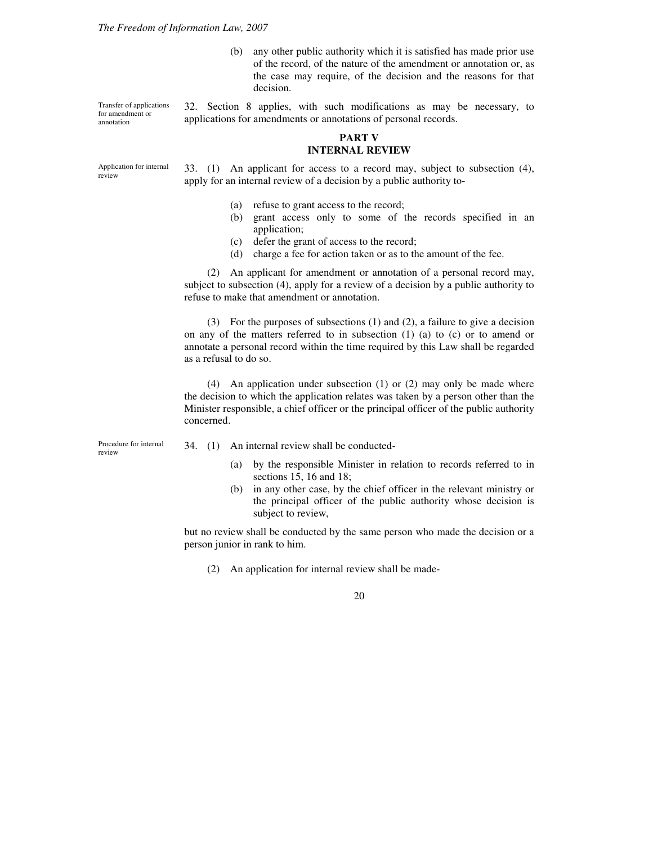(b) any other public authority which it is satisfied has made prior use of the record, of the nature of the amendment or annotation or, as the case may require, of the decision and the reasons for that decision.

Transfer of applications for amendment or annotation

32. Section 8 applies, with such modifications as may be necessary, to applications for amendments or annotations of personal records.

#### **PART V INTERNAL REVIEW**

Application for internal review

33. (1) An applicant for access to a record may, subject to subsection (4), apply for an internal review of a decision by a public authority to-

- (a) refuse to grant access to the record;
- (b) grant access only to some of the records specified in an application;
- (c) defer the grant of access to the record;
- (d) charge a fee for action taken or as to the amount of the fee.

(2) An applicant for amendment or annotation of a personal record may, subject to subsection (4), apply for a review of a decision by a public authority to refuse to make that amendment or annotation.

(3) For the purposes of subsections (1) and (2), a failure to give a decision on any of the matters referred to in subsection (1) (a) to (c) or to amend or annotate a personal record within the time required by this Law shall be regarded as a refusal to do so.

(4) An application under subsection (1) or (2) may only be made where the decision to which the application relates was taken by a person other than the Minister responsible, a chief officer or the principal officer of the public authority concerned.

Procedure for internal review

34. (1) An internal review shall be conducted-

- (a) by the responsible Minister in relation to records referred to in sections 15, 16 and 18;
- (b) in any other case, by the chief officer in the relevant ministry or the principal officer of the public authority whose decision is subject to review,

but no review shall be conducted by the same person who made the decision or a person junior in rank to him.

(2) An application for internal review shall be made-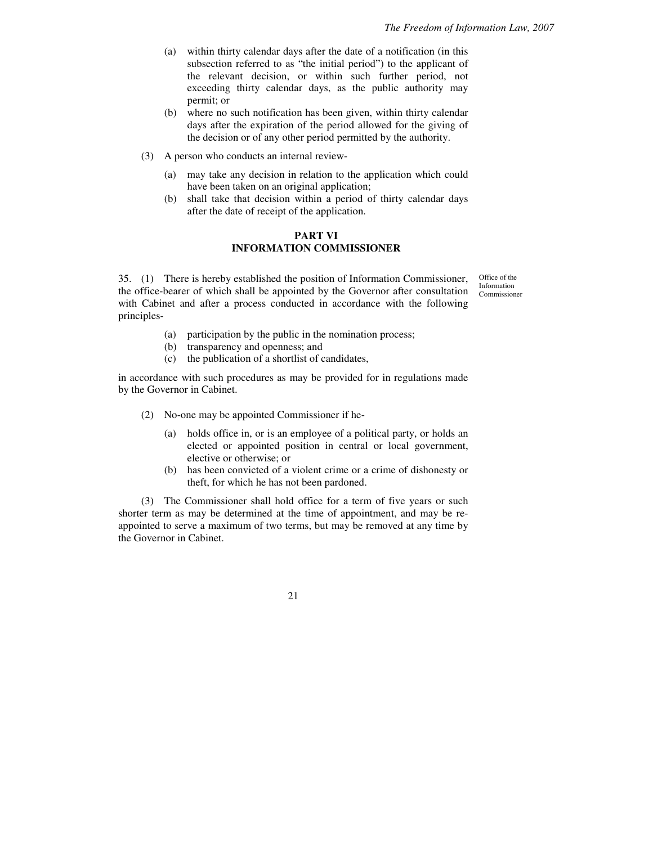- (a) within thirty calendar days after the date of a notification (in this subsection referred to as "the initial period") to the applicant of the relevant decision, or within such further period, not exceeding thirty calendar days, as the public authority may permit; or
- (b) where no such notification has been given, within thirty calendar days after the expiration of the period allowed for the giving of the decision or of any other period permitted by the authority.
- (3) A person who conducts an internal review-
	- (a) may take any decision in relation to the application which could have been taken on an original application;
	- (b) shall take that decision within a period of thirty calendar days after the date of receipt of the application.

## **PART VI INFORMATION COMMISSIONER**

35. (1) There is hereby established the position of Information Commissioner, the office-bearer of which shall be appointed by the Governor after consultation with Cabinet and after a process conducted in accordance with the following principles-

Office of the Information Commissioner

- (a) participation by the public in the nomination process;
- (b) transparency and openness; and
- (c) the publication of a shortlist of candidates,

in accordance with such procedures as may be provided for in regulations made by the Governor in Cabinet.

- (2) No-one may be appointed Commissioner if he-
	- (a) holds office in, or is an employee of a political party, or holds an elected or appointed position in central or local government, elective or otherwise; or
	- (b) has been convicted of a violent crime or a crime of dishonesty or theft, for which he has not been pardoned.

(3) The Commissioner shall hold office for a term of five years or such shorter term as may be determined at the time of appointment, and may be reappointed to serve a maximum of two terms, but may be removed at any time by the Governor in Cabinet.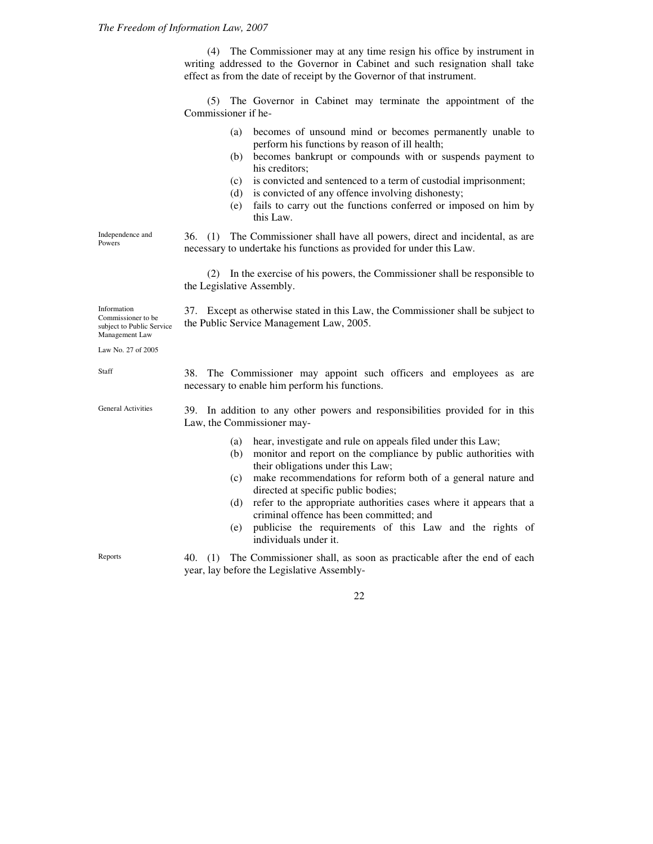(4) The Commissioner may at any time resign his office by instrument in writing addressed to the Governor in Cabinet and such resignation shall take effect as from the date of receipt by the Governor of that instrument.

(5) The Governor in Cabinet may terminate the appointment of the Commissioner if he-

- (a) becomes of unsound mind or becomes permanently unable to perform his functions by reason of ill health;
	- (b) becomes bankrupt or compounds with or suspends payment to his creditors;
	- (c) is convicted and sentenced to a term of custodial imprisonment;
	- (d) is convicted of any offence involving dishonesty;
	- (e) fails to carry out the functions conferred or imposed on him by this Law.

36. (1) The Commissioner shall have all powers, direct and incidental, as are necessary to undertake his functions as provided for under this Law. Independence and

> (2) In the exercise of his powers, the Commissioner shall be responsible to the Legislative Assembly.

37. Except as otherwise stated in this Law, the Commissioner shall be subject to the Public Service Management Law, 2005. subject to Public Service

Management Law Law No. 27 of 2005

Powers

Information Commissioner to be

38. The Commissioner may appoint such officers and employees as are necessary to enable him perform his functions. Staff

- 39. In addition to any other powers and responsibilities provided for in this Law, the Commissioner may- General Activities
	- (a) hear, investigate and rule on appeals filed under this Law;
	- (b) monitor and report on the compliance by public authorities with their obligations under this Law;
	- (c) make recommendations for reform both of a general nature and directed at specific public bodies;
	- (d) refer to the appropriate authorities cases where it appears that a criminal offence has been committed; and
	- (e) publicise the requirements of this Law and the rights of individuals under it.

Reports

<sup>40. (1)</sup> The Commissioner shall, as soon as practicable after the end of each year, lay before the Legislative Assembly-

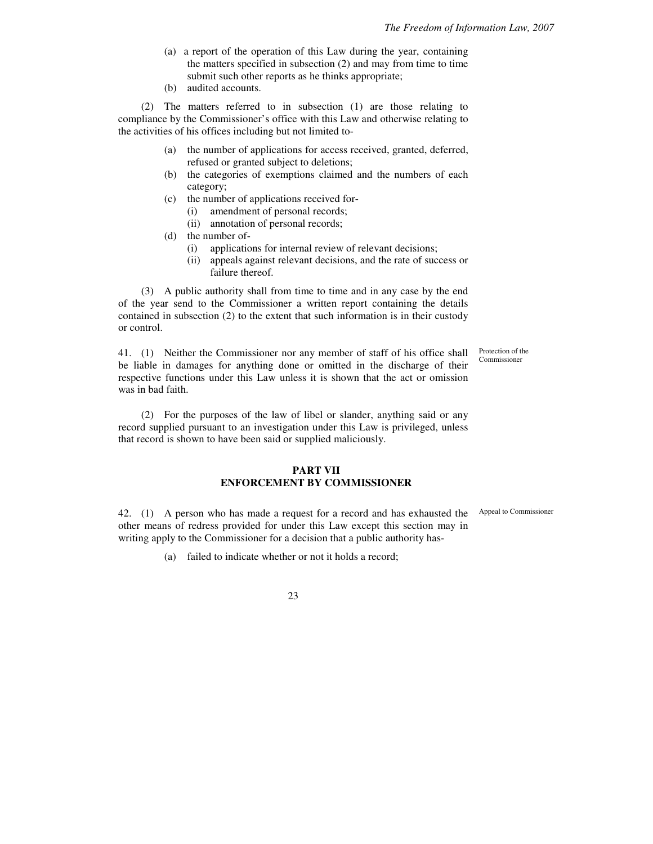- (a) a report of the operation of this Law during the year, containing the matters specified in subsection (2) and may from time to time submit such other reports as he thinks appropriate;
- (b) audited accounts.

(2) The matters referred to in subsection (1) are those relating to compliance by the Commissioner's office with this Law and otherwise relating to the activities of his offices including but not limited to-

- (a) the number of applications for access received, granted, deferred, refused or granted subject to deletions;
- (b) the categories of exemptions claimed and the numbers of each category;
- (c) the number of applications received for-
	- (i) amendment of personal records;
	- (ii) annotation of personal records;
- (d) the number of-
	- (i) applications for internal review of relevant decisions;
	- (ii) appeals against relevant decisions, and the rate of success or failure thereof.

(3) A public authority shall from time to time and in any case by the end of the year send to the Commissioner a written report containing the details contained in subsection (2) to the extent that such information is in their custody or control.

41. (1) Neither the Commissioner nor any member of staff of his office shall be liable in damages for anything done or omitted in the discharge of their respective functions under this Law unless it is shown that the act or omission was in bad faith.

(2) For the purposes of the law of libel or slander, anything said or any record supplied pursuant to an investigation under this Law is privileged, unless that record is shown to have been said or supplied maliciously.

#### **PART VII ENFORCEMENT BY COMMISSIONER**

42. (1) A person who has made a request for a record and has exhausted the Appeal to Commissioner other means of redress provided for under this Law except this section may in writing apply to the Commissioner for a decision that a public authority has-

(a) failed to indicate whether or not it holds a record;

Protection of the Commissioner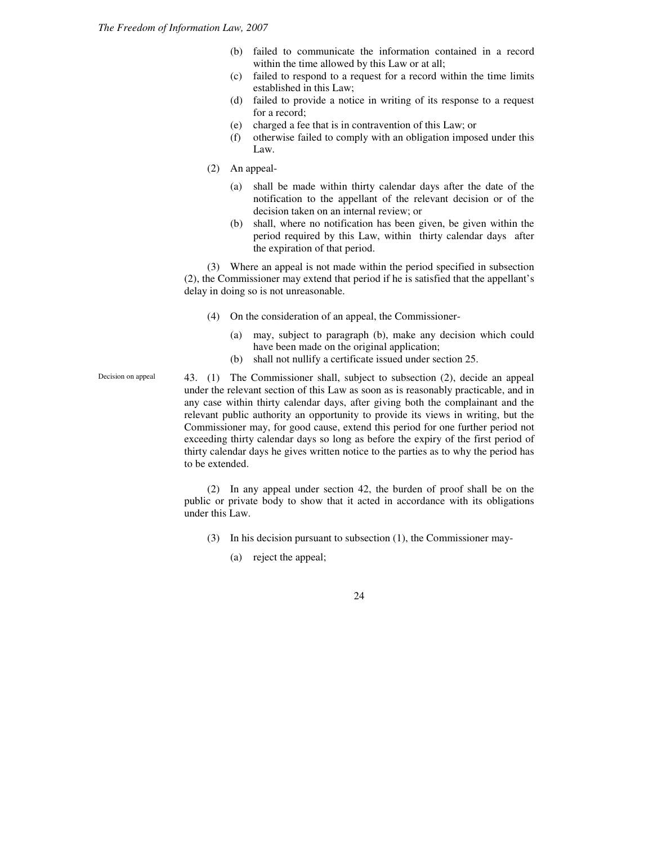- (b) failed to communicate the information contained in a record within the time allowed by this Law or at all;
- (c) failed to respond to a request for a record within the time limits established in this Law;
- (d) failed to provide a notice in writing of its response to a request for a record;
- (e) charged a fee that is in contravention of this Law; or
- (f) otherwise failed to comply with an obligation imposed under this Law.
- (2) An appeal-
	- (a) shall be made within thirty calendar days after the date of the notification to the appellant of the relevant decision or of the decision taken on an internal review; or
	- (b) shall, where no notification has been given, be given within the period required by this Law, within thirty calendar days after the expiration of that period.

(3) Where an appeal is not made within the period specified in subsection (2), the Commissioner may extend that period if he is satisfied that the appellant's delay in doing so is not unreasonable.

- (4) On the consideration of an appeal, the Commissioner-
	- (a) may, subject to paragraph (b), make any decision which could have been made on the original application;
	- (b) shall not nullify a certificate issued under section 25.
- 43. (1) The Commissioner shall, subject to subsection (2), decide an appeal under the relevant section of this Law as soon as is reasonably practicable, and in any case within thirty calendar days, after giving both the complainant and the relevant public authority an opportunity to provide its views in writing, but the Commissioner may, for good cause, extend this period for one further period not exceeding thirty calendar days so long as before the expiry of the first period of thirty calendar days he gives written notice to the parties as to why the period has to be extended. Decision on appeal

(2) In any appeal under section 42, the burden of proof shall be on the public or private body to show that it acted in accordance with its obligations under this Law.

- (3) In his decision pursuant to subsection (1), the Commissioner may-
	- (a) reject the appeal;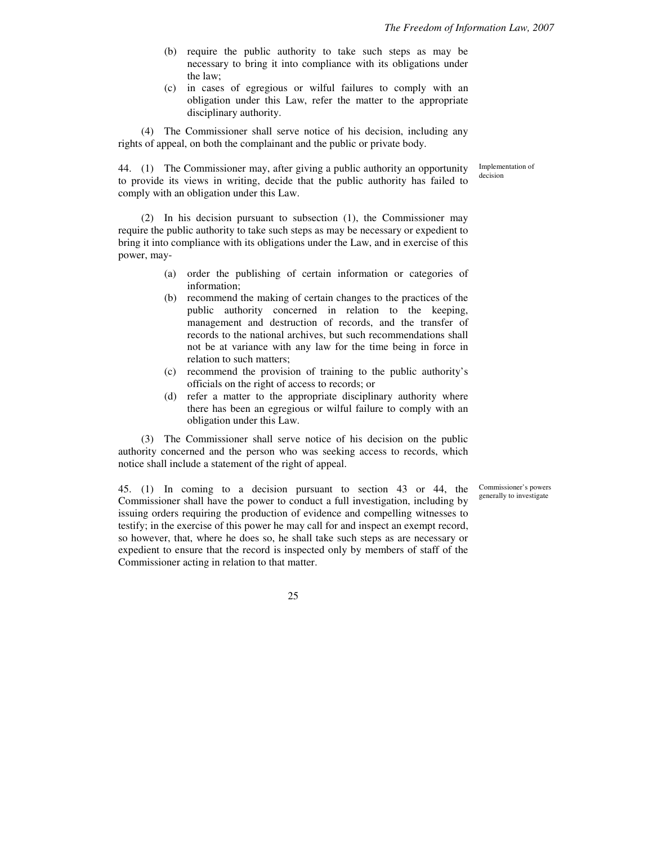- (b) require the public authority to take such steps as may be necessary to bring it into compliance with its obligations under the law;
- (c) in cases of egregious or wilful failures to comply with an obligation under this Law, refer the matter to the appropriate disciplinary authority.

(4) The Commissioner shall serve notice of his decision, including any rights of appeal, on both the complainant and the public or private body.

44. (1) The Commissioner may, after giving a public authority an opportunity to provide its views in writing, decide that the public authority has failed to comply with an obligation under this Law.

(2) In his decision pursuant to subsection (1), the Commissioner may require the public authority to take such steps as may be necessary or expedient to bring it into compliance with its obligations under the Law, and in exercise of this power, may-

- (a) order the publishing of certain information or categories of information;
- (b) recommend the making of certain changes to the practices of the public authority concerned in relation to the keeping, management and destruction of records, and the transfer of records to the national archives, but such recommendations shall not be at variance with any law for the time being in force in relation to such matters;
- (c) recommend the provision of training to the public authority's officials on the right of access to records; or
- (d) refer a matter to the appropriate disciplinary authority where there has been an egregious or wilful failure to comply with an obligation under this Law.

(3) The Commissioner shall serve notice of his decision on the public authority concerned and the person who was seeking access to records, which notice shall include a statement of the right of appeal.

45. (1) In coming to a decision pursuant to section 43 or 44, the Commissioner shall have the power to conduct a full investigation, including by issuing orders requiring the production of evidence and compelling witnesses to testify; in the exercise of this power he may call for and inspect an exempt record, so however, that, where he does so, he shall take such steps as are necessary or expedient to ensure that the record is inspected only by members of staff of the Commissioner acting in relation to that matter.

Commissioner's powers generally to investigate

25

Implementation of decision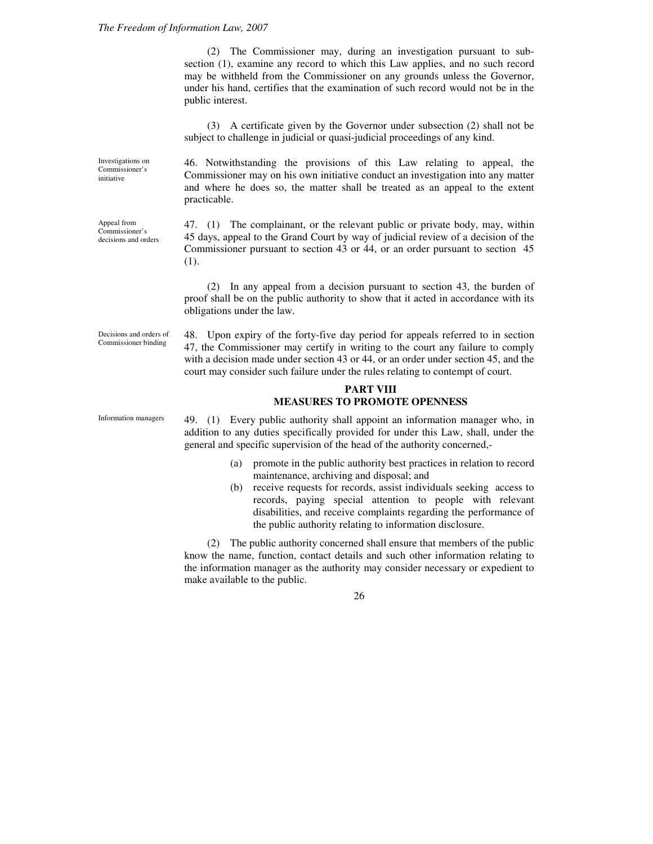(2) The Commissioner may, during an investigation pursuant to subsection (1), examine any record to which this Law applies, and no such record may be withheld from the Commissioner on any grounds unless the Governor, under his hand, certifies that the examination of such record would not be in the public interest.

(3) A certificate given by the Governor under subsection (2) shall not be subject to challenge in judicial or quasi-judicial proceedings of any kind.

Investigations on Commissioner's initiative

Appeal from Commissioner's decisions and orders

46. Notwithstanding the provisions of this Law relating to appeal, the Commissioner may on his own initiative conduct an investigation into any matter and where he does so, the matter shall be treated as an appeal to the extent practicable.

47. (1) The complainant, or the relevant public or private body, may, within 45 days, appeal to the Grand Court by way of judicial review of a decision of the Commissioner pursuant to section 43 or 44, or an order pursuant to section 45 (1).

(2) In any appeal from a decision pursuant to section 43, the burden of proof shall be on the public authority to show that it acted in accordance with its obligations under the law.

48. Upon expiry of the forty-five day period for appeals referred to in section 47, the Commissioner may certify in writing to the court any failure to comply with a decision made under section 43 or 44, or an order under section 45, and the court may consider such failure under the rules relating to contempt of court.

## **PART VIII MEASURES TO PROMOTE OPENNESS**

49. (1) Every public authority shall appoint an information manager who, in addition to any duties specifically provided for under this Law, shall, under the general and specific supervision of the head of the authority concerned,-

- (a) promote in the public authority best practices in relation to record maintenance, archiving and disposal; and
- (b) receive requests for records, assist individuals seeking access to records, paying special attention to people with relevant disabilities, and receive complaints regarding the performance of the public authority relating to information disclosure.

(2) The public authority concerned shall ensure that members of the public know the name, function, contact details and such other information relating to the information manager as the authority may consider necessary or expedient to make available to the public.

26

Commissioner binding

Decisions and orders of

Information managers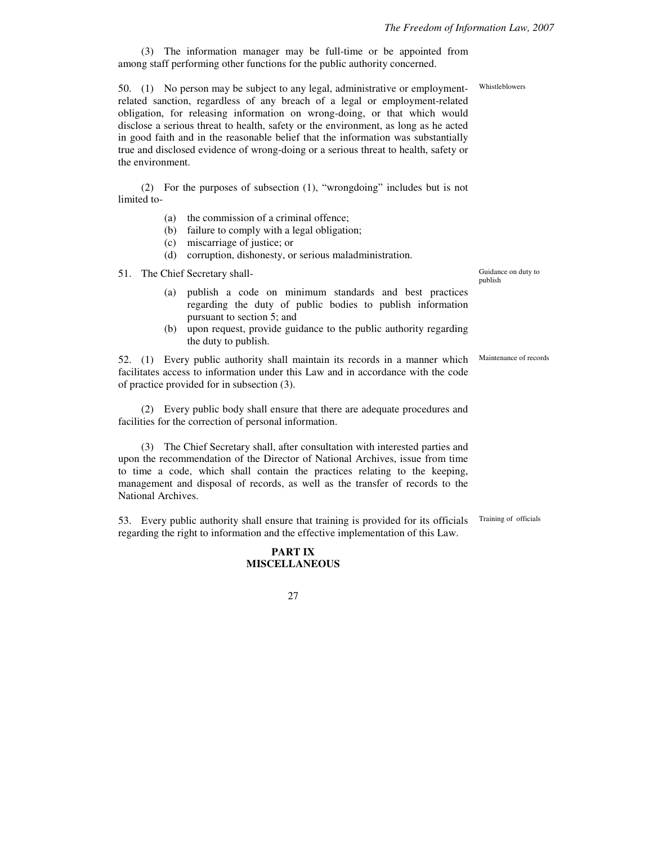(3) The information manager may be full-time or be appointed from among staff performing other functions for the public authority concerned.

Whistleblowers

50. (1) No person may be subject to any legal, administrative or employmentrelated sanction, regardless of any breach of a legal or employment-related obligation, for releasing information on wrong-doing, or that which would disclose a serious threat to health, safety or the environment, as long as he acted in good faith and in the reasonable belief that the information was substantially true and disclosed evidence of wrong-doing or a serious threat to health, safety or the environment.

(2) For the purposes of subsection (1), "wrongdoing" includes but is not limited to-

- (a) the commission of a criminal offence;
- (b) failure to comply with a legal obligation;
- (c) miscarriage of justice; or
- (d) corruption, dishonesty, or serious maladministration.

51. The Chief Secretary shall-

- (a) publish a code on minimum standards and best practices regarding the duty of public bodies to publish information pursuant to section 5; and
- (b) upon request, provide guidance to the public authority regarding the duty to publish.

52. (1) Every public authority shall maintain its records in a manner which facilitates access to information under this Law and in accordance with the code of practice provided for in subsection (3).

(2) Every public body shall ensure that there are adequate procedures and facilities for the correction of personal information.

(3) The Chief Secretary shall, after consultation with interested parties and upon the recommendation of the Director of National Archives, issue from time to time a code, which shall contain the practices relating to the keeping, management and disposal of records, as well as the transfer of records to the National Archives.

53. Every public authority shall ensure that training is provided for its officials regarding the right to information and the effective implementation of this Law.

#### **PART IX MISCELLANEOUS**

27

Guidance on duty to publish

Maintenance of records

Training of officials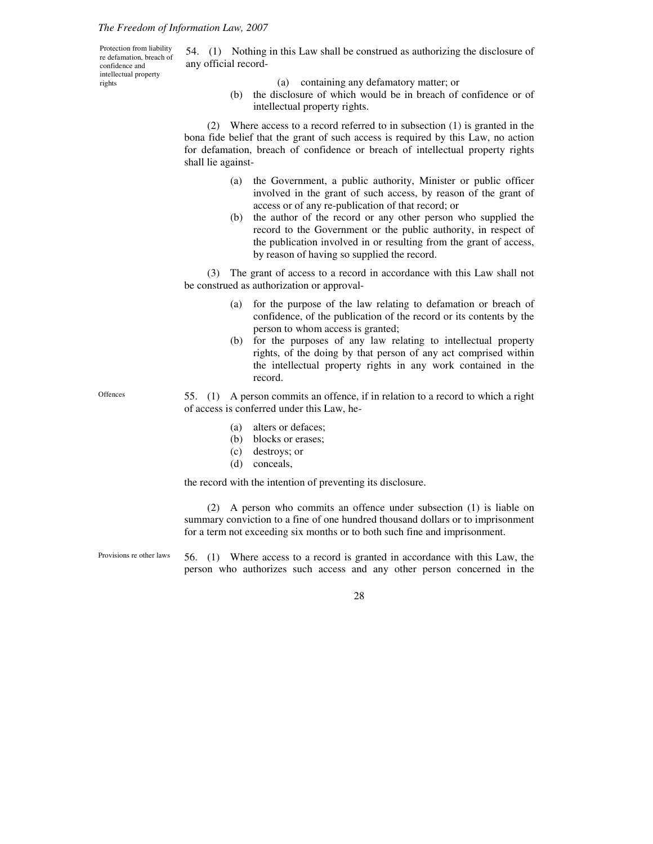Protection from liability re defamation, breach of confidence and intellectual property rights

**Offences** 

54. (1) Nothing in this Law shall be construed as authorizing the disclosure of any official record-

- (a) containing any defamatory matter; or
- (b) the disclosure of which would be in breach of confidence or of intellectual property rights.

(2) Where access to a record referred to in subsection (1) is granted in the bona fide belief that the grant of such access is required by this Law, no action for defamation, breach of confidence or breach of intellectual property rights shall lie against-

- (a) the Government, a public authority, Minister or public officer involved in the grant of such access, by reason of the grant of access or of any re-publication of that record; or
- (b) the author of the record or any other person who supplied the record to the Government or the public authority, in respect of the publication involved in or resulting from the grant of access, by reason of having so supplied the record.

(3) The grant of access to a record in accordance with this Law shall not be construed as authorization or approval-

- (a) for the purpose of the law relating to defamation or breach of confidence, of the publication of the record or its contents by the person to whom access is granted;
- (b) for the purposes of any law relating to intellectual property rights, of the doing by that person of any act comprised within the intellectual property rights in any work contained in the record.

55. (1) A person commits an offence, if in relation to a record to which a right of access is conferred under this Law, he-

- (a) alters or defaces;
- (b) blocks or erases;
- (c) destroys; or
- (d) conceals,

the record with the intention of preventing its disclosure.

(2) A person who commits an offence under subsection (1) is liable on summary conviction to a fine of one hundred thousand dollars or to imprisonment for a term not exceeding six months or to both such fine and imprisonment.

56. (1) Where access to a record is granted in accordance with this Law, the person who authorizes such access and any other person concerned in the Provisions re other laws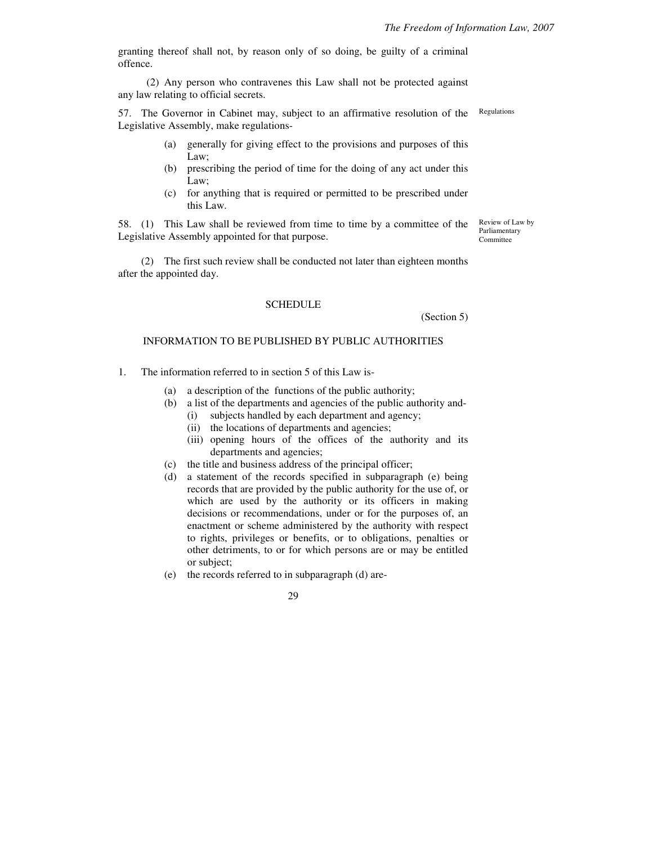granting thereof shall not, by reason only of so doing, be guilty of a criminal offence.

 (2) Any person who contravenes this Law shall not be protected against any law relating to official secrets.

57. The Governor in Cabinet may, subject to an affirmative resolution of the Legislative Assembly, make regulations-

- (a) generally for giving effect to the provisions and purposes of this Law;
- (b) prescribing the period of time for the doing of any act under this Law;
- (c) for anything that is required or permitted to be prescribed under this Law.

58. (1) This Law shall be reviewed from time to time by a committee of the Legislative Assembly appointed for that purpose.

(2) The first such review shall be conducted not later than eighteen months after the appointed day.

#### **SCHEDULE**

(Section 5)

#### INFORMATION TO BE PUBLISHED BY PUBLIC AUTHORITIES

- 1. The information referred to in section 5 of this Law is-
	- (a) a description of the functions of the public authority;
	- (b) a list of the departments and agencies of the public authority and- (i) subjects handled by each department and agency;
		- (ii) the locations of departments and agencies;
		- (iii) opening hours of the offices of the authority and its departments and agencies;
	- (c) the title and business address of the principal officer;
	- (d) a statement of the records specified in subparagraph (e) being records that are provided by the public authority for the use of, or which are used by the authority or its officers in making decisions or recommendations, under or for the purposes of, an enactment or scheme administered by the authority with respect to rights, privileges or benefits, or to obligations, penalties or other detriments, to or for which persons are or may be entitled or subject;
	- (e) the records referred to in subparagraph (d) are-

29

Regulations

Review of Law by Parliamentary Committee